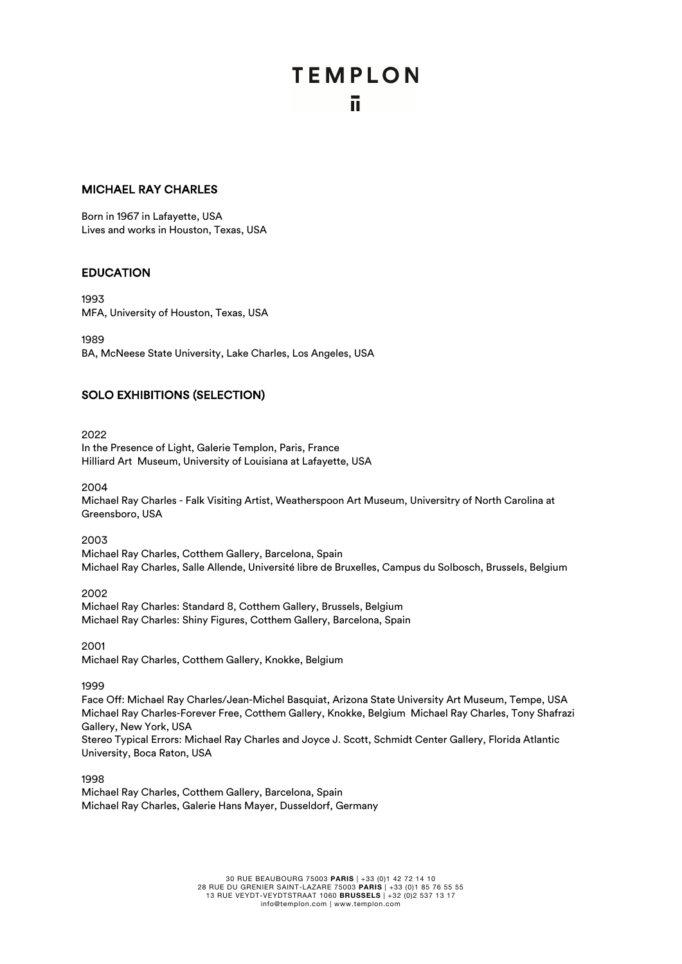# **TEMPLON** ū.

#### MICHAEL RAY CHARLES

Born in 1967 in Lafayette, USA Lives and works in Houston, Texas, USA

#### EDUCATION

1993 MFA, University of Houston, Texas, USA

1989 BA, McNeese State University, Lake Charles, Los Angeles, USA

### SOLO EXHIBITIONS (SELECTION)

2022 In the Presence of Light, Galerie Templon, Paris, France Hilliard Art Museum, University of Louisiana at Lafayette, USA

2004

Michael Ray Charles - Falk Visiting Artist, Weatherspoon Art Museum, Universitry of North Carolina at Greensboro, USA

2003

Michael Ray Charles, Cotthem Gallery, Barcelona, Spain Michael Ray Charles, Salle Allende, Université libre de Bruxelles, Campus du Solbosch, Brussels, Belgium

2002 Michael Ray Charles: Standard 8, Cotthem Gallery, Brussels, Belgium Michael Ray Charles: Shiny Figures, Cotthem Gallery, Barcelona, Spain

2001 Michael Ray Charles, Cotthem Gallery, Knokke, Belgium

1999

Face Off: Michael Ray Charles/Jean-Michel Basquiat, Arizona State University Art Museum, Tempe, USA Michael Ray Charles-Forever Free, Cotthem Gallery, Knokke, Belgium Michael Ray Charles, Tony Shafrazi Gallery, New York, USA Stereo Typical Errors: Michael Ray Charles and Joyce J. Scott, Schmidt Center Gallery, Florida Atlantic University, Boca Raton, USA

1998 Michael Ray Charles, Cotthem Gallery, Barcelona, Spain Michael Ray Charles, Galerie Hans Mayer, Dusseldorf, Germany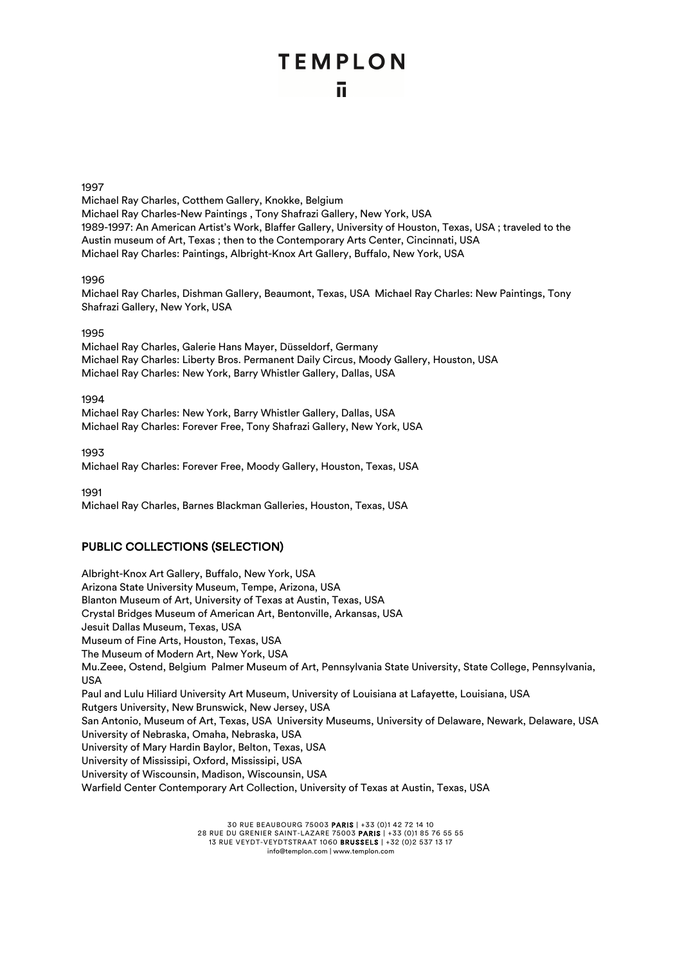# **TEMPLON**

#### 1997

Michael Ray Charles, Cotthem Gallery, Knokke, Belgium Michael Ray Charles-New Paintings , Tony Shafrazi Gallery, New York, USA 1989-1997: An American Artist's Work, Blaffer Gallery, University of Houston, Texas, USA ; traveled to the Austin museum of Art, Texas ; then to the Contemporary Arts Center, Cincinnati, USA Michael Ray Charles: Paintings, Albright-Knox Art Gallery, Buffalo, New York, USA

#### 1996

Michael Ray Charles, Dishman Gallery, Beaumont, Texas, USA Michael Ray Charles: New Paintings, Tony Shafrazi Gallery, New York, USA

#### 1995

Michael Ray Charles, Galerie Hans Mayer, Düsseldorf, Germany Michael Ray Charles: Liberty Bros. Permanent Daily Circus, Moody Gallery, Houston, USA Michael Ray Charles: New York, Barry Whistler Gallery, Dallas, USA

1994

Michael Ray Charles: New York, Barry Whistler Gallery, Dallas, USA Michael Ray Charles: Forever Free, Tony Shafrazi Gallery, New York, USA

1993 Michael Ray Charles: Forever Free, Moody Gallery, Houston, Texas, USA

1991

Michael Ray Charles, Barnes Blackman Galleries, Houston, Texas, USA

## PUBLIC COLLECTIONS (SELECTION)

Albright-Knox Art Gallery, Buffalo, New York, USA Arizona State University Museum, Tempe, Arizona, USA Blanton Museum of Art, University of Texas at Austin, Texas, USA Crystal Bridges Museum of American Art, Bentonville, Arkansas, USA Jesuit Dallas Museum, Texas, USA Museum of Fine Arts, Houston, Texas, USA The Museum of Modern Art, New York, USA Mu.Zeee, Ostend, Belgium Palmer Museum of Art, Pennsylvania State University, State College, Pennsylvania, USA Paul and Lulu Hiliard University Art Museum, University of Louisiana at Lafayette, Louisiana, USA Rutgers University, New Brunswick, New Jersey, USA San Antonio, Museum of Art, Texas, USA University Museums, University of Delaware, Newark, Delaware, USA University of Nebraska, Omaha, Nebraska, USA University of Mary Hardin Baylor, Belton, Texas, USA University of Mississipi, Oxford, Mississipi, USA University of Wiscounsin, Madison, Wiscounsin, USA Warfield Center Contemporary Art Collection, University of Texas at Austin, Texas, USA

> 30 RUE BEAUBOURG 75003 PARIS | +33 (0)1 42 72 14 10 28 RUE DU GRENIER SAINT-LAZARE 75003 PARIS | +33 (0)1 85 76 55 55 13 RUE VEYDT-VEYDTSTRAAT 1060 BRUSSELS | +32 (0)2 537 13 17 info@templon.com | www.templon.com